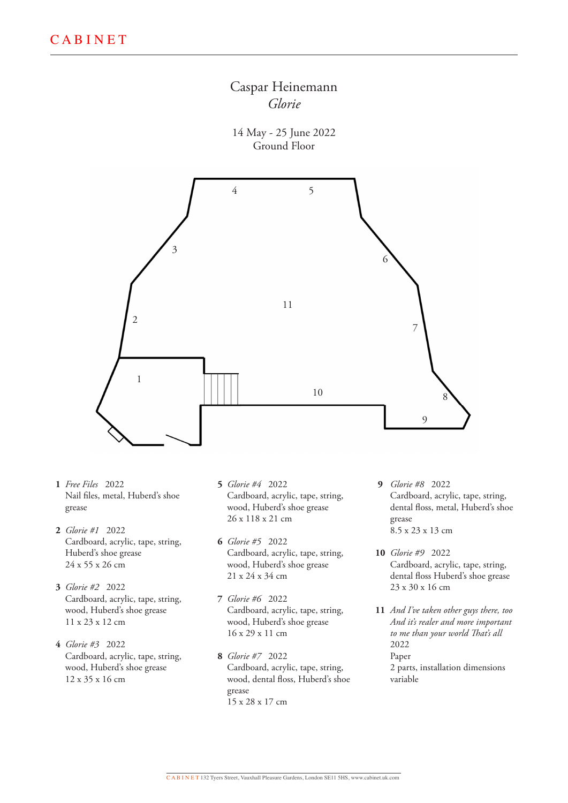

14 May - 25 June 2022 Ground Floor



- *Free Files* 2022 **1** Nail files, metal, Huberd's shoe grease
- *Glorie #1* 2022 **2** Cardboard, acrylic, tape, string, Huberd's shoe grease 24 x 55 x 26 cm
- *Glorie #2* 2022 **3** Cardboard, acrylic, tape, string, wood, Huberd's shoe grease 11 x 23 x 12 cm
- *Glorie #3* 2022 **4** Cardboard, acrylic, tape, string, wood, Huberd's shoe grease 12 x 35 x 16 cm
- *Glorie #4* 2022 **5** Cardboard, acrylic, tape, string, wood, Huberd's shoe grease 26 x 118 x 21 cm
- *Glorie #5* 2022 **6** Cardboard, acrylic, tape, string, wood, Huberd's shoe grease 21 x 24 x 34 cm
- *Glorie #6* 2022 **7** Cardboard, acrylic, tape, string, wood, Huberd's shoe grease 16 x 29 x 11 cm
- *Glorie #7* 2022 **8** Cardboard, acrylic, tape, string, wood, dental floss, Huberd's shoe grease 15 x 28 x 17 cm
- *Glorie #8* 2022 **9** Cardboard, acrylic, tape, string, dental floss, metal, Huberd's shoe grease 8.5 x 23 x 13 cm
- *Glorie #9* 2022 **10** Cardboard, acrylic, tape, string, dental floss Huberd's shoe grease 23 x 30 x 16 cm
- *And I've taken other guys there, too*  **11***And it's realer and more important to me than your world That's all* 2022 Paper 2 parts, installation dimensions variable